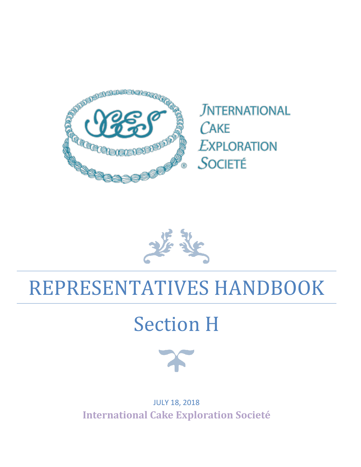

**JNTERNATIONAL** CAKE **EXPLORATION** SOCIETÉ

# REPRESENTATIVES HANDBOOK

# Section H



JULY 18, 2018 **International Cake Exploration Societé**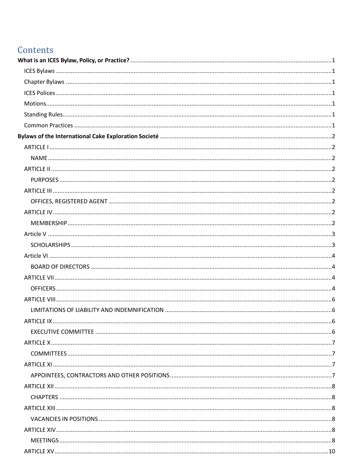# Contents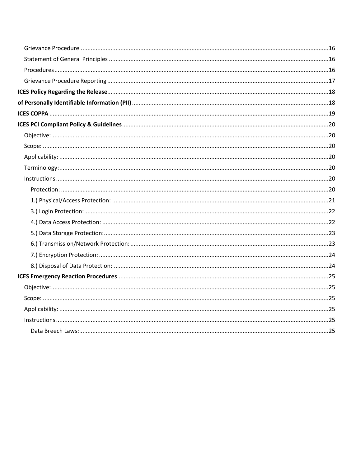| Instructions. 25 |  |
|------------------|--|
|                  |  |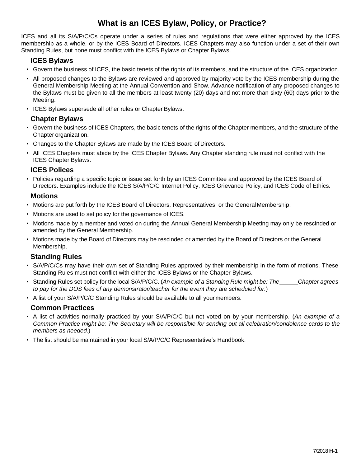## **What is an ICES Bylaw, Policy, or Practice?**

<span id="page-4-0"></span>ICES and all its S/A/P/C/Cs operate under a series of rules and regulations that were either approved by the ICES membership as a whole, or by the ICES Board of Directors. ICES Chapters may also function under a set of their own Standing Rules, but none must conflict with the ICES Bylaws or Chapter Bylaws.

#### <span id="page-4-1"></span>**ICES Bylaws**

- Govern the business of ICES, the basic tenets of the rights of its members, and the structure of the ICES organization.
- All proposed changes to the Bylaws are reviewed and approved by majority vote by the ICES membership during the General Membership Meeting at the Annual Convention and Show. Advance notification of any proposed changes to the Bylaws must be given to all the members at least twenty (20) days and not more than sixty (60) days prior to the Meeting.
- <span id="page-4-2"></span>• ICES Bylaws supersede all other rules or Chapter Bylaws.

#### **Chapter Bylaws**

- Govern the business of ICES Chapters, the basic tenets of the rights of the Chapter members, and the structure of the Chapter organization.
- Changes to the Chapter Bylaws are made by the ICES Board of Directors.
- All ICES Chapters must abide by the ICES Chapter Bylaws. Any Chapter standing rule must not conflict with the ICES Chapter Bylaws.

#### <span id="page-4-3"></span>**ICES Polices**

• Policies regarding a specific topic or issue set forth by an ICES Committee and approved by the ICES Board of Directors. Examples include the ICES S/A/P/C/C Internet Policy, ICES Grievance Policy, and ICES Code of Ethics.

#### <span id="page-4-4"></span>**Motions**

- Motions are put forth by the ICES Board of Directors, Representatives, or the GeneralMembership.
- Motions are used to set policy for the governance of ICES.
- Motions made by a member and voted on during the Annual General Membership Meeting may only be rescinded or amended by the General Membership.
- Motions made by the Board of Directors may be rescinded or amended by the Board of Directors or the General Membership.

#### <span id="page-4-5"></span>**Standing Rules**

- S/A/P/C/Cs may have their own set of Standing Rules approved by their membership in the form of motions. These Standing Rules must not conflict with either the ICES Bylaws or the Chapter Bylaws.
- Standing Rules set policy for thelocal S/A/P/C/C. (*An example of a Standing Rule might be: The Chapter agrees to pay for the DOS fees of any demonstrator/teacher for the event they are scheduled for.*)
- <span id="page-4-6"></span>• A list of your S/A/P/C/C Standing Rules should be available to all your members.

#### **Common Practices**

- A list of activities normally practiced by your S/A/P/C/C but not voted on by your membership. (*An example of a*  Common Practice might be: The Secretary will be responsible for sending out all celebration/condolence cards to the *members as needed.*)
- The list should be maintained in your local S/A/P/C/C Representative's Handbook.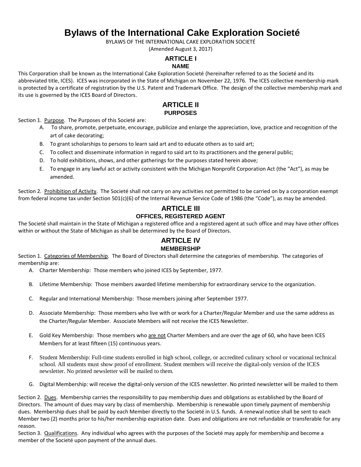# **Bylaws of the International Cake Exploration Societé**

BYLAWS OF THE INTERNATIONAL CAKE EXPLORATION SOCIETÉ

(Amended August 3, 2017)

#### **ARTICLE I**

#### **NAME**

<span id="page-5-2"></span><span id="page-5-1"></span><span id="page-5-0"></span>This Corporation shall be known as the International Cake Exploration Societé (hereinafter referred to as the Societé and its abbreviated title, ICES). ICES was incorporated in the State of Michigan on November 22, 1976. The ICES collective membership mark is protected by a certificate of registration by the U.S. Patent and Trademark Office. The design of the collective membership mark and its use is governed by the ICES Board of Directors.

#### **ARTICLE II PURPOSES**

<span id="page-5-4"></span><span id="page-5-3"></span>Section 1. Purpose. The Purposes of this Societé are:

- A. To share, promote, perpetuate, encourage, publicize and enlarge the appreciation, love, practice and recognition of the art of cake decorating;
- B. To grant scholarships to persons to learn said art and to educate others as to said art;
- C. To collect and disseminate information in regard to said art to its practitioners and the general public;
- D. To hold exhibitions, shows, and other gatherings for the purposes stated herein above;
- E. To engage in any lawful act or activity consistent with the Michigan Nonprofit Corporation Act (the "Act"), as may be amended.

<span id="page-5-5"></span>Section 2. Prohibition of Activity. The Societé shall not carry on any activities not permitted to be carried on by a corporation exempt from federal income tax under Section 501(c)(6) of the Internal Revenue Service Code of 1986 (the "Code"), as may be amended.

#### **ARTICLE III OFFICES, REGISTERED AGENT**

<span id="page-5-7"></span><span id="page-5-6"></span>The Societé shall maintain in the State of Michigan a registered office and a registered agent at such office and may have other offices within or without the State of Michigan as shall be determined by the Board of Directors.

#### **ARTICLE IV MEMBERSHIP**

<span id="page-5-8"></span>Section 1. Categories of Membership. The Board of Directors shall determine the categories of membership. The categories of membership are:

- A. Charter Membership: Those members who joined ICES by September, 1977.
- B. Lifetime Membership: Those members awarded lifetime membership for extraordinary service to the organization.
- C. Regular and International Membership: Those members joining after September 1977.
- D. Associate Membership: Those members who live with or work for a Charter/Regular Member and use the same address as the Charter/Regular Member. Associate Members will not receive the ICES Newsletter.
- E. Gold Key Membership: Those members who are not Charter Members and are over the age of 60, who have been ICES Members for at least fifteen (15) continuous years.
- F. Student Membership: Full-time students enrolled in high school, college, or accredited culinary school or vocational technical school. All students must show proof of enrollment. Student members will receive the digital-only version of the ICES newsletter. No printed newsletter will be mailed to them.
- G. Digital Membership: will receive the digital-only version of the ICES newsletter. No printed newsletter will be mailed to them

Section 2. Dues. Membership carries the responsibility to pay membership dues and obligations as established by the Board of Directors. The amount of dues may vary by class of membership. Membership is renewable upon timely payment of membership dues. Membership dues shall be paid by each Member directly to the Societé in U.S. funds. A renewal notice shall be sent to each Member two (2) months prior to his/her membership expiration date. Dues and obligations are not refundable or transferable for any reason.

Section 3. Qualifications. Any individual who agrees with the purposes of the Societé may apply for membership and become a member of the Societé upon payment of the annual dues.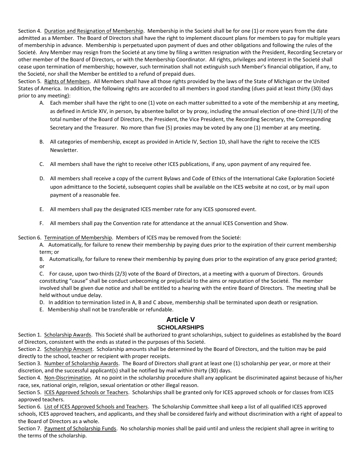Section 4. Duration and Resignation of Membership. Membership in the Societé shall be for one (1) or more years from the date admitted as a Member. The Board of Directors shall have the right to implement discount plans for members to pay for multiple years of membership in advance. Membership is perpetuated upon payment of dues and other obligations and following the rules of the Societé. Any Member may resign from the Societé at any time by filing a written resignation with the President, Recording Secretary or other member of the Board of Directors, or with the Membership Coordinator. All rights, privileges and interest in the Societé shall cease upon termination of membership; however, such termination shall not extinguish such Member's financial obligation, if any, to the Societé, nor shall the Member be entitled to a refund of prepaid dues.

Section 5. Rights of Members. All Members shall have all those rights provided by the laws of the State of Michigan or the United States of America. In addition, the following rights are accorded to all members in good standing (dues paid at least thirty (30) days prior to any meeting):

- A. Each member shall have the right to one (1) vote on each matter submitted to a vote of the membership at any meeting, as defined in Article XIV, in person, by absentee ballot or by proxy, including the annual election of one-third (1/3) of the total number of the Board of Directors, the President, the Vice President, the Recording Secretary, the Corresponding Secretary and the Treasurer. No more than five (5) proxies may be voted by any one (1) member at any meeting.
- B. All categories of membership, except as provided in Article IV, Section 1D, shall have the right to receive the ICES Newsletter.
- C. All members shall have the right to receive other ICES publications, if any, upon payment of any required fee.
- D. All members shall receive a copy of the current Bylaws and Code of Ethics of the International Cake Exploration Societé upon admittance to the Societé, subsequent copies shall be available on the ICES website at no cost, or by mail upon payment of a reasonable fee.
- E. All members shall pay the designated ICES member rate for any ICES sponsored event.
- F. All members shall pay the Convention rate for attendance at the annual ICES Convention and Show.

Section 6. Termination of Membership. Members of ICES may be removed from the Societé:

A. Automatically, for failure to renew their membership by paying dues prior to the expiration of their current membership term; or

B. Automatically, for failure to renew their membership by paying dues prior to the expiration of any grace period granted; or

C. For cause, upon two-thirds (2/3) vote of the Board of Directors, at a meeting with a quorum of Directors. Grounds constituting "cause" shall be conduct unbecoming or prejudicial to the aims or reputation of the Societé. The member involved shall be given due notice and shall be entitled to a hearing with the entire Board of Directors. The meeting shall be held without undue delay.

D. In addition to termination listed in A, B and C above, membership shall be terminated upon death or resignation.

E. Membership shall not be transferable or refundable.

#### **Article V SCHOLARSHIPS**

<span id="page-6-1"></span><span id="page-6-0"></span>Section 1. Scholarship Awards. This Societé shall be authorized to grant scholarships, subject to guidelines as established by the Board of Directors, consistent with the ends as stated in the purposes of this Societé.

Section 2. Scholarship Amount. Scholarship amounts shall be determined by the Board of Directors, and the tuition may be paid directly to the school, teacher or recipient with proper receipts.

Section 3. Number of Scholarship Awards. The Board of Directors shall grant at least one (1) scholarship per year, or more at their discretion, and the successful applicant(s) shall be notified by mail within thirty (30) days.

Section 4. Non-Discrimination. At no point in the scholarship procedure shall any applicant be discriminated against because of his/her race, sex, national origin, religion, sexual orientation or other illegal reason.

Section 5. ICES Approved Schools or Teachers. Scholarships shall be granted only for ICES approved schools or for classes from ICES approved teachers.

Section 6. List of ICES Approved Schools and Teachers. The Scholarship Committee shall keep a list of all qualified ICES approved schools, ICES approved teachers, and applicants, and they shall be considered fairly and without discrimination with a right of appeal to the Board of Directors as a whole.

Section 7. Payment of Scholarship Funds. No scholarship monies shall be paid until and unless the recipient shall agree in writing to the terms of the scholarship.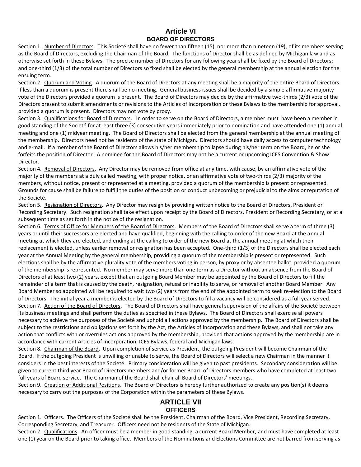#### **Article VI BOARD OF DIRECTORS**

<span id="page-7-1"></span><span id="page-7-0"></span>Section 1. Number of Directors. This Societé shall have no fewer than fifteen (15), nor more than nineteen (19), of its members serving as the Board of Directors, excluding the Chairman of the Board. The functions of Director shall be as defined by Michigan law and as otherwise set forth in these Bylaws. The precise number of Directors for any following year shall be fixed by the Board of Directors; and one-third (1/3) of the total number of Directors so fixed shall be elected by the general membership at the annual election for the ensuing term.

Section 2. Quorum and Voting. A quorum of the Board of Directors at any meeting shall be a majority of the entire Board of Directors. If less than a quorum is present there shall be no meeting. General business issues shall be decided by a simple affirmative majority vote of the Directors provided a quorum is present. The Board of Directors may decide by the affirmative two-thirds (2/3) vote of the Directors present to submit amendments or revisions to the Articles of Incorporation or these Bylaws to the membership for approval, provided a quorum is present. Directors may not vote by proxy.

Section 3. Qualifications for Board of Directors. In order to serve on the Board of Directors, a member must have been a member in good standing of the Societé for at least three (3) consecutive years immediately prior to nomination and have attended one (1) annual meeting and one (1) midyear meeting. The Board of Directors shall be elected from the general membership at the annual meeting of the membership. Directors need not be residents of the state of Michigan. Directors should have daily access to computer technology and e-mail. If a member of the Board of Directors allows his/her membership to lapse during his/her term on the Board, he or she forfeits the position of Director. A nominee for the Board of Directors may not be a current or upcoming ICES Convention & Show Director.

Section 4. Removal of Directors. Any Director may be removed from office at any time, with cause, by an affirmative vote of the majority of the members at a duly called meeting, with proper notice, or an affirmative vote of two-thirds (2/3) majority of the members, without notice, present or represented at a meeting, provided a quorum of the membership is present or represented. Grounds for cause shall be failure to fulfill the duties of the position or conduct unbecoming or prejudicial to the aims or reputation of the Societé.

Section 5. Resignation of Directors. Any Director may resign by providing written notice to the Board of Directors, President or Recording Secretary. Such resignation shall take effect upon receipt by the Board of Directors, President or Recording Secretary, or at a subsequent time as set forth in the notice of the resignation.

Section 6. Terms of Office for Members of the Board of Directors. Members of the Board of Directors shall serve a term of three (3) years or until their successors are elected and have qualified, beginning with the calling to order of the new Board at the annual meeting at which they are elected, and ending at the calling to order of the new Board at the annual meeting at which their replacement is elected, unless earlier removal or resignation has been accepted. One-third (1/3) of the Directors shall be elected each year at the Annual Meeting by the general membership, providing a quorum of the membership is present or represented. Such elections shall be by the affirmative plurality vote of the members voting in person, by proxy or by absentee ballot, provided a quorum of the membership is represented. No member may serve more than one term as a Director without an absence from the Board of Directors of at least two (2) years, except that an outgoing Board Member may be appointed by the Board of Directors to fill the remainder of a term that is caused by the death, resignation, refusal or inability to serve, or removal of another Board Member. Any Board Member so appointed will be required to wait two (2) years from the end of the appointed term to seek re-election to the Board of Directors. The initial year a member is elected by the Board of Directors to fill a vacancy will be considered as a full year served. Section 7. Action of the Board of Directors. The Board of Directors shall have general supervision of the affairs of the Societé between its business meetings and shall perform the duties as specified in these Bylaws. The Board of Directors shall exercise all powers necessary to achieve the purposes of the Societé and uphold all actions approved by the membership. The Board of Directors shall be subject to the restrictions and obligations set forth by the Act, the Articles of Incorporation and these Bylaws, and shall not take any action that conflicts with or overrules actions approved by the membership, provided that actions approved by the membership are in accordance with current Articles of Incorporation, ICES Bylaws, federal and Michigan laws.

Section 8. Chairman of the Board. Upon completion of service as President, the outgoing President will become Chairman of the Board. If the outgoing President is unwilling or unable to serve, the Board of Directors will select a new Chairman in the manner it considers in the best interests of the Societé. Primary consideration will be given to past presidents. Secondary consideration will be given to current third year Board of Directors members and/or former Board of Directors members who have completed at least two full years of Board service. The Chairman of the Board shall chair all Board of Directors' meetings.

<span id="page-7-2"></span>Section 9. Creation of Additional Positions. The Board of Directors is hereby further authorized to create any position(s) it deems necessary to carry out the purposes of the Corporation within the parameters of these Bylaws.

### **ARTICLE VII OFFICERS**

<span id="page-7-3"></span>Section 1. Officers. The Officers of the Societé shall be the President, Chairman of the Board, Vice President, Recording Secretary, Corresponding Secretary, and Treasurer. Officers need not be residents of the State of Michigan.

Section 2. Qualifications. An officer must be a member in good standing, a current Board Member, and must have completed at least one (1) year on the Board prior to taking office. Members of the Nominations and Elections Committee are not barred from serving as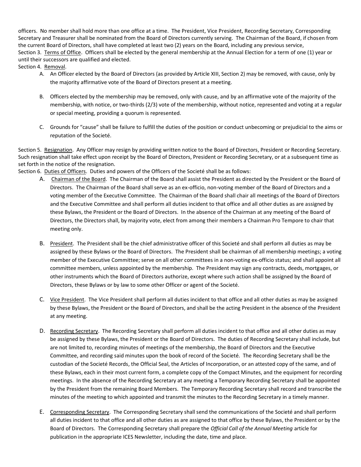officers. No member shall hold more than one office at a time. The President, Vice President, Recording Secretary, Corresponding Secretary and Treasurer shall be nominated from the Board of Directors currently serving. The Chairman of the Board, if chosen from the current Board of Directors, shall have completed at least two (2) years on the Board, including any previous service, Section 3. Terms of Office. Officers shall be elected by the general membership at the Annual Election for a term of one (1) year or until their successors are qualified and elected.

Section 4. Removal.

- A. An Officer elected by the Board of Directors (as provided by Article XIII, Section 2) may be removed, with cause, only by the majority affirmative vote of the Board of Directors present at a meeting.
- B. Officers elected by the membership may be removed, only with cause, and by an affirmative vote of the majority of the membership, with notice, or two-thirds (2/3) vote of the membership, without notice, represented and voting at a regular or special meeting, providing a quorum is represented.
- C. Grounds for "cause" shall be failure to fulfill the duties of the position or conduct unbecoming or prejudicial to the aims or reputation of the Societé.

Section 5. Resignation. Any Officer may resign by providing written notice to the Board of Directors, President or Recording Secretary. Such resignation shall take effect upon receipt by the Board of Directors, President or Recording Secretary, or at a subsequent time as set forth in the notice of the resignation.

Section 6. Duties of Officers. Duties and powers of the Officers of the Societé shall be as follows:

- A. Chairman of the Board. The Chairman of the Board shall assist the President as directed by the President or the Board of Directors. The Chairman of the Board shall serve as an ex-officio, non-voting member of the Board of Directors and a voting member of the Executive Committee. The Chairman of the Board shall chair all meetings of the Board of Directors and the Executive Committee and shall perform all duties incident to that office and all other duties as are assigned by these Bylaws, the President or the Board of Directors. In the absence of the Chairman at any meeting of the Board of Directors, the Directors shall, by majority vote, elect from among their members a Chairman Pro Tempore to chair that meeting only.
- B. President. The President shall be the chief administrative officer of this Societé and shall perform all duties as may be assigned by these Bylaws or the Board of Directors. The President shall be chairman of all membership meetings; a voting member of the Executive Committee; serve on all other committees in a non-voting ex-officio status; and shall appoint all committee members, unless appointed by the membership. The President may sign any contracts, deeds, mortgages, or other instruments which the Board of Directors authorize, except where such action shall be assigned by the Board of Directors, these Bylaws or by law to some other Officer or agent of the Societé.
- C. Vice President. The Vice President shall perform all duties incident to that office and all other duties as may be assigned by these Bylaws, the President or the Board of Directors, and shall be the acting President in the absence of the President at any meeting.
- D. Recording Secretary. The Recording Secretary shall perform all duties incident to that office and all other duties as may be assigned by these Bylaws, the President or the Board of Directors. The duties of Recording Secretary shall include, but are not limited to, recording minutes of meetings of the membership, the Board of Directors and the Executive Committee, and recording said minutes upon the book of record of the Societé. The Recording Secretary shall be the custodian of the Societé Records, the Official Seal, the Articles of Incorporation, or an attested copy of the same, and of these Bylaws, each in their most current form, a complete copy of the Compact Minutes, and the equipment for recording meetings. In the absence of the Recording Secretary at any meeting a Temporary Recording Secretary shall be appointed by the President from the remaining Board Members. The Temporary Recording Secretary shall record and transcribe the minutes of the meeting to which appointed and transmit the minutes to the Recording Secretary in a timely manner.
- E. Corresponding Secretary. The Corresponding Secretary shall send the communications of the Societé and shall perform all duties incident to that office and all other duties as are assigned to that office by these Bylaws, the President or by the Board of Directors. The Corresponding Secretary shall prepare the *Official Call of the Annual Meeting* article for publication in the appropriate ICES Newsletter, including the date, time and place.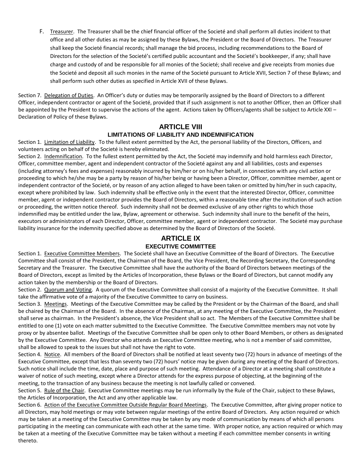F. Treasurer. The Treasurer shall be the chief financial officer of the Societé and shall perform all duties incident to that office and all other duties as may be assigned by these Bylaws, the President or the Board of Directors. The Treasurer shall keep the Societé financial records; shall manage the bid process, including recommendations to the Board of Directors for the selection of the Societé's certified public accountant and the Societé's bookkeeper, if any; shall have charge and custody of and be responsible for all monies of the Societé; shall receive and give receipts from monies due the Societé and deposit all such monies in the name of the Societé pursuant to Article XVII, Section 7 of these Bylaws; and shall perform such other duties as specified in Article XVII of these Bylaws.

Section 7. Delegation of Duties. An Officer's duty or duties may be temporarily assigned by the Board of Directors to a different Officer, independent contractor or agent of the Societé, provided that if such assignment is not to another Officer, then an Officer shall be appointed by the President to supervise the actions of the agent. Actions taken by Officers/agents shall be subject to Article XXI – Declaration of Policy of these Bylaws.

### **ARTICLE VIII LIMITATIONS OF LIABILITY AND INDEMNIFICATION**

<span id="page-9-1"></span><span id="page-9-0"></span>Section 1. Limitation of Liability. To the fullest extent permitted by the Act, the personal liability of the Directors, Officers, and volunteers acting on behalf of the Societé is hereby eliminated.

Section 2. Indemnification. To the fullest extent permitted by the Act, the Societé may indemnify and hold harmless each Director, Officer, committee member, agent and independent contractor of the Societé against any and all liabilities, costs and expenses (including attorney's fees and expenses) reasonably incurred by him/her or on his/her behalf, in connection with any civil action or proceeding to which he/she may be a party by reason of his/her being or having been a Director, Officer, committee member, agent or independent contractor of the Societé, or by reason of any action alleged to have been taken or omitted by him/her in such capacity, except where prohibited by law. Such indemnity shall be effective only in the event that the interested Director, Officer, committee member, agent or independent contractor provides the Board of Directors, within a reasonable time after the institution of such action or proceeding, the written notice thereof. Such indemnity shall not be deemed exclusive of any other rights to which those indemnified may be entitled under the law, Bylaw, agreement or otherwise. Such indemnity shall inure to the benefit of the heirs, executors or administrators of each Director, Officer, committee member, agent or independent contractor. The Societé may purchase liability insurance for the indemnity specified above as determined by the Board of Directors of the Societé.

#### **ARTICLE IX EXECUTIVE COMMITTEE**

<span id="page-9-3"></span><span id="page-9-2"></span>Section 1. Executive Committee Members. The Societé shall have an Executive Committee of the Board of Directors. The Executive Committee shall consist of the President, the Chairman of the Board, the Vice President, the Recording Secretary, the Corresponding Secretary and the Treasurer. The Executive Committee shall have the authority of the Board of Directors between meetings of the Board of Directors, except as limited by the Articles of Incorporation, these Bylaws or the Board of Directors, but cannot modify any action taken by the membership or the Board of Directors.

Section 2. Quorum and Voting. A quorum of the Executive Committee shall consist of a majority of the Executive Committee. It shall take the affirmative vote of a majority of the Executive Committee to carry on business.

Section 3. Meetings. Meetings of the Executive Committee may be called by the President or by the Chairman of the Board, and shall be chaired by the Chairman of the Board. In the absence of the Chairman, at any meeting of the Executive Committee, the President shall serve as chairman. In the President's absence, the Vice President shall so act. The Members of the Executive Committee shall be entitled to one (1) vote on each matter submitted to the Executive Committee. The Executive Committee members may not vote by proxy or by absentee ballot. Meetings of the Executive Committee shall be open only to other Board Members, or others as designated by the Executive Committee. Any Director who attends an Executive Committee meeting, who is not a member of said committee, shall be allowed to speak to the issues but shall not have the right to vote.

Section 4. Notice. All members of the Board of Directors shall be notified at least seventy two (72) hours in advance of meetings of the Executive Committee, except that less than seventy two (72) hours' notice may be given during any meeting of the Board of Directors. Such notice shall include the time, date, place and purpose of such meeting. Attendance of a Director at a meeting shall constitute a waiver of notice of such meeting, except where a Director attends for the express purpose of objecting, at the beginning of the meeting, to the transaction of any business because the meeting is not lawfully called or convened.

Section 5. Rule of the Chair. Executive Committee meetings may be run informally by the Rule of the Chair, subject to these Bylaws, the Articles of Incorporation, the Act and any other applicable law.

Section 6. Action of the Executive Committee Outside Regular Board Meetings. The Executive Committee, after giving proper notice to all Directors, may hold meetings or may vote between regular meetings of the entire Board of Directors. Any action required or which may be taken at a meeting of the Executive Committee may be taken by any mode of communication by means of which all persons participating in the meeting can communicate with each other at the same time. With proper notice, any action required or which may be taken at a meeting of the Executive Committee may be taken without a meeting if each committee member consents in writing thereto.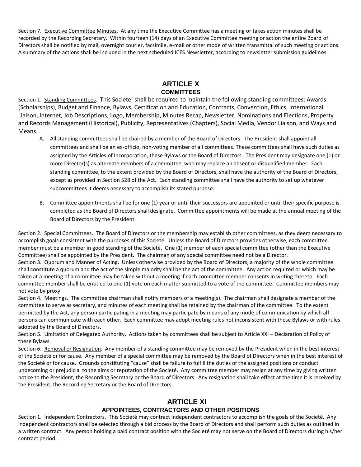Section 7. Executive Committee Minutes. At any time the Executive Committee has a meeting or takes action minutes shall be recorded by the Recording Secretary. Within fourteen (14) days of an Executive Committee meeting or action the entire Board of Directors shall be notified by mail, overnight courier, facsimile, e-mail or other mode of written transmittal of such meeting or actions. A summary of the actions shall be included in the next scheduled ICES Newsletter, according to newsletter submission guidelines.

#### **ARTICLE X COMMITTEES**

<span id="page-10-1"></span><span id="page-10-0"></span>Section 1. Standing Committees. This Societe` shall be required to maintain the following standing committees: Awards (Scholarships), Budget and Finance, Bylaws, Certification and Education, Contracts, Convention, Ethics, International Liaison, Internet, Job Descriptions, Logo, Membership, Minutes Recap, Newsletter, Nominations and Elections, Property and Records Management (Historical), Publicity, Representatives (Chapters), Social Media, Vendor Liaison, and Ways and Means.

- A. All standing committees shall be chaired by a member of the Board of Directors. The President shall appoint all committees and shall be an ex-officio, non-voting member of all committees. These committees shall have such duties as assigned by the Articles of Incorporation, these Bylaws or the Board of Directors. The President may designate one (1) or more Director(s) as alternate members of a committee, who may replace an absent or disqualified member. Each standing committee, to the extent provided by the Board of Directors, shall have the authority of the Board of Directors, except as provided in Section 528 of the Act. Each standing committee shall have the authority to set up whatever subcommittees it deems necessary to accomplish its stated purpose.
- B. Committee appointments shall be for one (1) year or until their successors are appointed or until their specific purpose is completed as the Board of Directors shall designate. Committee appointments will be made at the annual meeting of the Board of Directors by the President.

Section 2. Special Committees. The Board of Directors or the membership may establish other committees, as they deem necessary to accomplish goals consistent with the purposes of this Societé. Unless the Board of Directors provides otherwise, each committee member must be a member in good standing of the Societé. One (1) member of each special committee (other than the Executive Committee) shall be appointed by the President. The chairman of any special committee need not be a Director. Section 3. Quorum and Manner of Acting. Unless otherwise provided by the Board of Directors, a majority of the whole committee shall constitute a quorum and the act of the simple majority shall be the act of the committee. Any action required or which may be taken at a meeting of a committee may be taken without a meeting if each committee member consents in writing thereto. Each committee member shall be entitled to one (1) vote on each matter submitted to a vote of the committee. Committee members may not vote by proxy.

Section 4. Meetings. The committee chairman shall notify members of a meeting(s). The chairman shall designate a member of the committee to serve as secretary, and minutes of each meeting shall be retained by the chairman of the committee. To the extent permitted by the Act, any person participating in a meeting may participate by means of any mode of communication by which all persons can communicate with each other. Each committee may adopt meeting rules not inconsistent with these Bylaws or with rules adopted by the Board of Directors.

Section 5. Limitation of Delegated Authority. Actions taken by committees shall be subject to Article XXI – Declaration of Policy of these Bylaws.

Section 6. Removal or Resignation. Any member of a standing committee may be removed by the President when in the best interest of the Societé or for cause. Any member of a special committee may be removed by the Board of Directors when in the best interest of the Societé or for cause. Grounds constituting "cause" shall be failure to fulfill the duties of the assigned positions or conduct unbecoming or prejudicial to the aims or reputation of the Societé. Any committee member may resign at any time by giving written notice to the President, the Recording Secretary or the Board of Directors. Any resignation shall take effect at the time it is received by the President, the Recording Secretary or the Board of Directors.

#### **ARTICLE XI APPOINTEES, CONTRACTORS AND OTHER POSITIONS**

<span id="page-10-3"></span><span id="page-10-2"></span>Section 1. Independent Contractors. This Societé may contract independent contractors to accomplish the goals of the Societé. Any independent contractors shall be selected through a bid process by the Board of Directors and shall perform such duties as outlined in a written contract. Any person holding a paid contract position with the Societé may not serve on the Board of Directors during his/her contract period.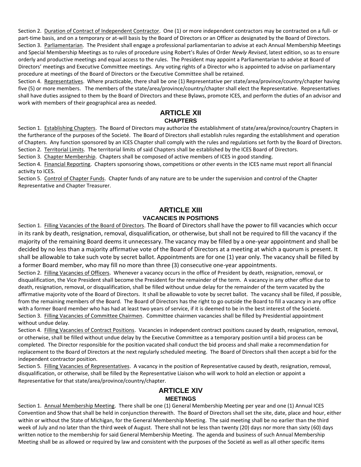Section 2. Duration of Contract of Independent Contractor. One (1) or more independent contractors may be contracted on a full- or part-time basis, and on a temporary or at-will basis by the Board of Directors or an Officer as designated by the Board of Directors. Section 3. Parliamentarian. The President shall engage a professional parliamentarian to advise at each Annual Membership Meetings and Special Membership Meetings as to rules of procedure using Robert's Rules of Order *Newly Revised*, latest edition, so as to ensure orderly and productive meetings and equal access to the rules. The President may appoint a Parliamentarian to advise at Board of Directors' meetings and Executive Committee meetings. Any voting rights of a Director who is appointed to advise on parliamentary procedure at meetings of the Board of Directors or the Executive Committee shall be retained.

Section 4. Representatives. Where practicable, there shall be one (1) Representative per state/area/province/country/chapter having five (5) or more members. The members of the state/area/province/country/chapter shall elect the Representative. Representatives shall have duties assigned to them by the Board of Directors and these Bylaws, promote ICES, and perform the duties of an advisor and work with members of their geographical area as needed.

#### **ARTICLE XII CHAPTERS**

<span id="page-11-1"></span><span id="page-11-0"></span>Section 1. Establishing Chapters. The Board of Directors may authorize the establishment of state/area/province/country Chapters in the furtherance of the purposes of the Societé. The Board of Directors shall establish rules regarding the establishment and operation of Chapters. Any function sponsored by an ICES Chapter shall comply with the rules and regulations set forth by the Board of Directors. Section 2. Territorial Limits. The territorial limits of said Chapters shall be established by the ICES Board of Directors.

Section 3. Chapter Membership. Chapters shall be composed of active members of ICES in good standing.

Section 4. Financial Reporting. Chapters sponsoring shows, competitions or other events in the ICES name must report all financial activity to ICES.

Section 5. Control of Chapter Funds. Chapter funds of any nature are to be under the supervision and control of the Chapter Representative and Chapter Treasurer.

#### **ARTICLE XIII VACANCIES IN POSITIONS**

<span id="page-11-3"></span><span id="page-11-2"></span>Section 1. Filling Vacancies of the Board of Directors. The Board of Directors shall have the power to fill vacancies which occur in its rank by death, resignation, removal, disqualification, or otherwise, but shall not be required to fill the vacancy if the majority of the remaining Board deems it unnecessary. The vacancy may be filled by a one-year appointment and shall be decided by no less than a majority affirmative vote of the Board of Directors at a meeting at which a quorum is present. It shall be allowable to take such vote by secret ballot. Appointments are for one (1) year only. The vacancy shall be filled by a former Board member, who may fill no more than three (3) consecutive one-year appointments.

Section 2. Filling Vacancies of Officers. Whenever a vacancy occurs in the office of President by death, resignation, removal, or disqualification, the Vice President shall become the President for the remainder of the term. A vacancy in any other office due to death, resignation, removal, or disqualification, shall be filled without undue delay for the remainder of the term vacated by the affirmative majority vote of the Board of Directors. It shall be allowable to vote by secret ballot. The vacancy shall be filled, if possible, from the remaining members of the Board. The Board of Directors has the right to go outside the Board to fill a vacancy in any office with a former Board member who has had at least two years of service, if it is deemed to be in the best interest of the Societé. Section 3. Filling Vacancies of Committee Chairmen. Committee chairmen vacancies shall be filled by Presidential appointment without undue delay.

Section 4. Filling Vacancies of Contract Positions. Vacancies in independent contract positions caused by death, resignation, removal, or otherwise, shall be filled without undue delay by the Executive Committee as a temporary position until a bid process can be completed. The Director responsible for the position vacated shall conduct the bid process and shall make a recommendation for replacement to the Board of Directors at the next regularly scheduled meeting. The Board of Directors shall then accept a bid for the independent contractor position.

Section 5. Filling Vacancies of Representatives. A vacancy in the position of Representative caused by death, resignation, removal, disqualification, or otherwise, shall be filled by the Representative Liaison who will work to hold an election or appoint a Representative for that state/area/province/country/chapter.

#### **ARTICLE XIV MEETINGS**

<span id="page-11-5"></span><span id="page-11-4"></span>Section 1. Annual Membership Meeting. There shall be one (1) General Membership Meeting per year and one (1) Annual ICES Convention and Show that shall be held in conjunction therewith. The Board of Directors shall set the site, date, place and hour, either within or without the State of Michigan, for the General Membership Meeting. The said meeting shall be no earlier than the third week of July and no later than the third week of August. There shall not be less than twenty (20) days nor more than sixty (60) days written notice to the membership for said General Membership Meeting. The agenda and business of such Annual Membership Meeting shall be as allowed or required by law and consistent with the purposes of the Societé as well as all other specific items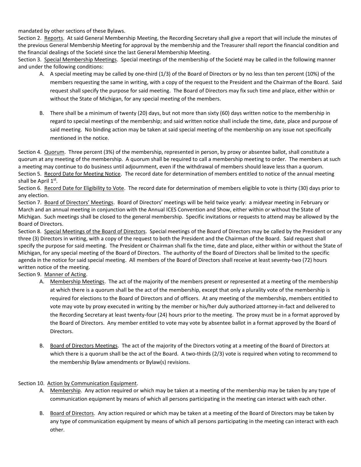mandated by other sections of these Bylaws.

Section 2. Reports. At said General Membership Meeting, the Recording Secretary shall give a report that will include the minutes of the previous General Membership Meeting for approval by the membership and the Treasurer shall report the financial condition and the financial dealings of the Societé since the last General Membership Meeting.

Section 3. Special Membership Meetings. Special meetings of the membership of the Societé may be called in the following manner and under the following conditions:

- A. A special meeting may be called by one-third (1/3) of the Board of Directors or by no less than ten percent (10%) of the members requesting the same in writing, with a copy of the request to the President and the Chairman of the Board. Said request shall specify the purpose for said meeting. The Board of Directors may fix such time and place, either within or without the State of Michigan, for any special meeting of the members.
- B. There shall be a minimum of twenty (20) days, but not more than sixty (60) days written notice to the membership in regard to special meetings of the membership; and said written notice shall include the time, date, place and purpose of said meeting. No binding action may be taken at said special meeting of the membership on any issue not specifically mentioned in the notice.

Section 4. Quorum. Three percent (3%) of the membership, represented in person, by proxy or absentee ballot, shall constitute a quorum at any meeting of the membership. A quorum shall be required to call a membership meeting to order. The members at such a meeting may continue to do business until adjournment, even if the withdrawal of members should leave less than a quorum. Section 5. Record Date for Meeting Notice. The record date for determination of members entitled to notice of the annual meeting shall be April 1st.

Section 6. Record Date for Eligibility to Vote. The record date for determination of members eligible to vote is thirty (30) days prior to any election.

Section 7. Board of Directors' Meetings. Board of Directors' meetings will be held twice yearly: a midyear meeting in February or March and an annual meeting in conjunction with the Annual ICES Convention and Show, either within or without the State of Michigan. Such meetings shall be closed to the general membership. Specific invitations or requests to attend may be allowed by the Board of Directors.

Section 8. Special Meetings of the Board of Directors. Special meetings of the Board of Directors may be called by the President or any three (3) Directors in writing, with a copy of the request to both the President and the Chairman of the Board. Said request shall specify the purpose for said meeting. The President or Chairman shall fix the time, date and place, either within or without the State of Michigan, for any special meeting of the Board of Directors. The authority of the Board of Directors shall be limited to the specific agenda in the notice for said special meeting. All members of the Board of Directors shall receive at least seventy-two (72) hours written notice of the meeting.

Section 9. Manner of Acting.

- A. Membership Meetings. The act of the majority of the members present or represented at a meeting of the membership at which there is a quorum shall be the act of the membership, except that only a plurality vote of the membership is required for elections to the Board of Directors and of officers. At any meeting of the membership, members entitled to vote may vote by proxy executed in writing by the member or his/her duly authorized attorney-in-fact and delivered to the Recording Secretary at least twenty-four (24) hours prior to the meeting. The proxy must be in a format approved by the Board of Directors. Any member entitled to vote may vote by absentee ballot in a format approved by the Board of Directors.
- B. Board of Directors Meetings. The act of the majority of the Directors voting at a meeting of the Board of Directors at which there is a quorum shall be the act of the Board. A two-thirds (2/3) vote is required when voting to recommend to the membership Bylaw amendments or Bylaw(s) revisions.

#### Section 10. Action by Communication Equipment.

- A. Membership. Any action required or which may be taken at a meeting of the membership may be taken by any type of communication equipment by means of which all persons participating in the meeting can interact with each other.
- B. Board of Directors. Any action required or which may be taken at a meeting of the Board of Directors may be taken by any type of communication equipment by means of which all persons participating in the meeting can interact with each other.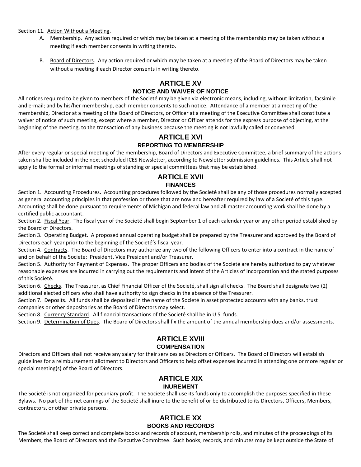Section 11. Action Without a Meeting.

- A. Membership. Any action required or which may be taken at a meeting of the membership may be taken without a meeting if each member consents in writing thereto.
- B. Board of Directors. Any action required or which may be taken at a meeting of the Board of Directors may be taken without a meeting if each Director consents in writing thereto.

#### **ARTICLE XV**

#### **NOTICE AND WAIVER OF NOTICE**

<span id="page-13-1"></span><span id="page-13-0"></span>All notices required to be given to members of the Societé may be given via electronic means, including, without limitation, facsimile and e-mail; and by his/her membership, each member consents to such notice. Attendance of a member at a meeting of the membership, Director at a meeting of the Board of Directors, or Officer at a meeting of the Executive Committee shall constitute a waiver of notice of such meeting, except where a member, Director or Officer attends for the express purpose of objecting, at the beginning of the meeting, to the transaction of any business because the meeting is not lawfully called or convened.

#### **ARTICLE XVI REPORTING TO MEMBERSHIP**

<span id="page-13-3"></span><span id="page-13-2"></span>After every regular or special meeting of the membership, Board of Directors and Executive Committee, a brief summary of the actions taken shall be included in the next scheduled ICES Newsletter, according to Newsletter submission guidelines. This Article shall not apply to the formal or informal meetings of standing or special committees that may be established.

#### **ARTICLE XVII FINANCES**

<span id="page-13-5"></span><span id="page-13-4"></span>Section 1. Accounting Procedures. Accounting procedures followed by the Societé shall be any of those procedures normally accepted as general accounting principles in that profession or those that are now and hereafter required by law of a Societé of this type. Accounting shall be done pursuant to requirements of Michigan and federal law and all master accounting work shall be done by a certified public accountant.

Section 2. Fiscal Year. The fiscal year of the Societé shall begin September 1 of each calendar year or any other period established by the Board of Directors.

Section 3. Operating Budget. A proposed annual operating budget shall be prepared by the Treasurer and approved by the Board of Directors each year prior to the beginning of the Societé's fiscal year.

Section 4. Contracts. The Board of Directors may authorize any two of the following Officers to enter into a contract in the name of and on behalf of the Societé: President, Vice President and/or Treasurer.

Section 5. Authority for Payment of Expenses. The proper Officers and bodies of the Societé are hereby authorized to pay whatever reasonable expenses are incurred in carrying out the requirements and intent of the Articles of Incorporation and the stated purposes of this Societé.

Section 6. Checks. The Treasurer, as Chief Financial Officer of the Societé, shall sign all checks. The Board shall designate two (2) additional elected officers who shall have authority to sign checks in the absence of the Treasurer.

Section 7. Deposits. All funds shall be deposited in the name of the Societé in asset protected accounts with any banks, trust companies or other depositories as the Board of Directors may select.

Section 8. Currency Standard. All financial transactions of the Societé shall be in U.S. funds.

<span id="page-13-6"></span>Section 9. Determination of Dues. The Board of Directors shall fix the amount of the annual membership dues and/or assessments.

#### **ARTICLE XVIII COMPENSATION**

<span id="page-13-7"></span>Directors and Officers shall not receive any salary for their services as Directors or Officers. The Board of Directors will establish guidelines for a reimbursement allotment to Directors and Officers to help offset expenses incurred in attending one or more regular or special meeting(s) of the Board of Directors.

#### **ARTICLE XIX INUREMENT**

<span id="page-13-9"></span><span id="page-13-8"></span>The Societé is not organized for pecuniary profit. The Societé shall use its funds only to accomplish the purposes specified in these Bylaws. No part of the net earnings of the Societé shall inure to the benefit of or be distributed to its Directors, Officers, Members, contractors, or other private persons.

#### **ARTICLE XX BOOKS AND RECORDS**

<span id="page-13-11"></span><span id="page-13-10"></span>The Societé shall keep correct and complete books and records of account, membership rolls, and minutes of the proceedings of its Members, the Board of Directors and the Executive Committee. Such books, records, and minutes may be kept outside the State of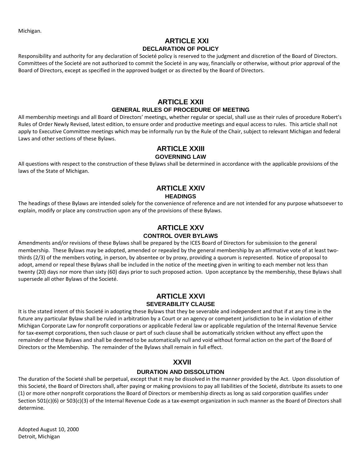<span id="page-14-0"></span>Michigan.

#### **ARTICLE XXI DECLARATION OF POLICY**

<span id="page-14-1"></span>Responsibility and authority for any declaration of Societé policy is reserved to the judgment and discretion of the Board of Directors. Committees of the Societé are not authorized to commit the Societé in any way, financially or otherwise, without prior approval of the Board of Directors, except as specified in the approved budget or as directed by the Board of Directors.

#### **ARTICLE XXII GENERAL RULES OF PROCEDURE OF MEETING**

<span id="page-14-3"></span><span id="page-14-2"></span>All membership meetings and all Board of Directors' meetings, whether regular or special, shall use as their rules of procedure Robert's Rules of Order Newly Revised, latest edition, to ensure order and productive meetings and equal access to rules. This article shall not apply to Executive Committee meetings which may be informally run by the Rule of the Chair, subject to relevant Michigan and federal Laws and other sections of these Bylaws.

#### **ARTICLE XXIII GOVERNING LAW**

<span id="page-14-5"></span><span id="page-14-4"></span>All questions with respect to the construction of these Bylaws shall be determined in accordance with the applicable provisions of the laws of the State of Michigan.

#### **ARTICLE XXIV HEADINGS**

<span id="page-14-7"></span><span id="page-14-6"></span>The headings of these Bylaws are intended solely for the convenience of reference and are not intended for any purpose whatsoever to explain, modify or place any construction upon any of the provisions of these Bylaws.

#### **ARTICLE XXV CONTROL OVER BYLAWS**

<span id="page-14-9"></span><span id="page-14-8"></span>Amendments and/or revisions of these Bylaws shall be prepared by the ICES Board of Directors for submission to the general membership. These Bylaws may be adopted, amended or repealed by the general membership by an affirmative vote of at least twothirds (2/3) of the members voting, in person, by absentee or by proxy, providing a quorum is represented. Notice of proposal to adopt, amend or repeal these Bylaws shall be included in the notice of the meeting given in writing to each member not less than twenty (20) days nor more than sixty (60) days prior to such proposed action. Upon acceptance by the membership, these Bylaws shall supersede all other Bylaws of the Societé.

#### **ARTICLE XXVI SEVERABILITY CLAUSE**

<span id="page-14-11"></span><span id="page-14-10"></span>It is the stated intent of this Societé in adopting these Bylaws that they be severable and independent and that if at any time in the future any particular Bylaw shall be ruled in arbitration by a Court or an agency or competent jurisdiction to be in violation of either Michigan Corporate Law for nonprofit corporations or applicable Federal law or applicable regulation of the Internal Revenue Service for tax-exempt corporations, then such clause or part of such clause shall be automatically stricken without any effect upon the remainder of these Bylaws and shall be deemed to be automatically null and void without formal action on the part of the Board of Directors or the Membership. The remainder of the Bylaws shall remain in full effect.

## **XXVII**

#### **DURATION AND DISSOLUTION**

<span id="page-14-13"></span><span id="page-14-12"></span>The duration of the Societé shall be perpetual, except that it may be dissolved in the manner provided by the Act. Upon dissolution of this Societé, the Board of Directors shall, after paying or making provisions to pay all liabilities of the Societé, distribute its assets to one (1) or more other nonprofit corporations the Board of Directors or membership directs as long as said corporation qualifies under Section 501(c)(6) or 503(c)(3) of the Internal Revenue Code as a tax-exempt organization in such manner as the Board of Directors shall determine.

Adopted August 10, 2000 Detroit, Michigan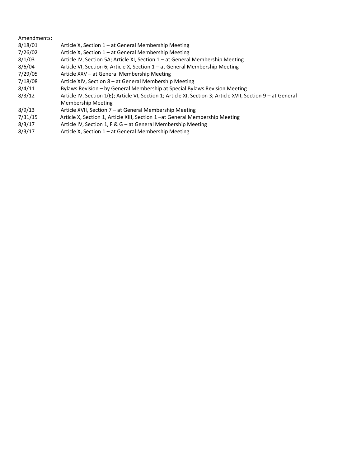| Amendments: |                                                                                                              |
|-------------|--------------------------------------------------------------------------------------------------------------|
| 8/18/01     | Article X, Section 1 – at General Membership Meeting                                                         |
| 7/26/02     | Article X, Section 1 – at General Membership Meeting                                                         |
| 8/1/03      | Article IV, Section 5A; Article XI, Section 1 – at General Membership Meeting                                |
| 8/6/04      | Article VI, Section 6; Article X, Section 1 – at General Membership Meeting                                  |
| 7/29/05     | Article XXV – at General Membership Meeting                                                                  |
| 7/18/08     | Article XIV, Section 8 - at General Membership Meeting                                                       |
| 8/4/11      | Bylaws Revision - by General Membership at Special Bylaws Revision Meeting                                   |
| 8/3/12      | Article IV, Section 1(E); Article VI, Section 1; Article XI, Section 3; Article XVII, Section 9 - at General |
|             | <b>Membership Meeting</b>                                                                                    |
| 8/9/13      | Article XVII, Section 7 - at General Membership Meeting                                                      |
| 7/31/15     | Article X, Section 1, Article XIII, Section 1-at General Membership Meeting                                  |
| 8/3/17      | Article IV, Section 1, F & G – at General Membership Meeting                                                 |
| 8/3/17      | Article X, Section 1 – at General Membership Meeting                                                         |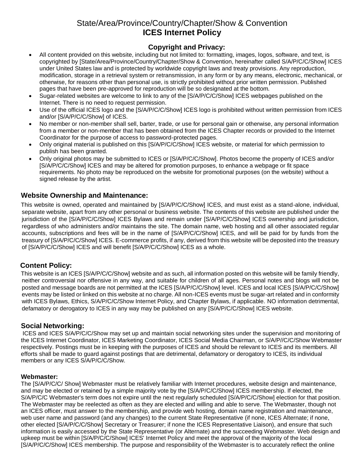## State/Area/Province/Country/Chapter/Show & Convention **ICES Internet Policy**

#### **Copyright and Privacy:**

- <span id="page-16-2"></span><span id="page-16-1"></span><span id="page-16-0"></span>• All content provided on this website, including but not limited to: formatting, images, logos, software, and text, is copyrighted by [State/Area/Province/Country/Chapter/Show & Convention, hereinafter called S/A/P/C/C/Show] ICES under United States law and is protected by worldwide copyright laws and treaty provisions. Any reproduction, modification, storage in a retrieval system or retransmission, in any form or by any means, electronic, mechanical, or otherwise, for reasons other than personal use, is strictly prohibited without prior written permission. Published pages that have been pre-approved for reproduction will be so designated at the bottom.
- Sugar-related websites are welcome to link to any of the [S/A/P/C/C/Show] ICES webpages published on the Internet. There is no need to request permission.
- Use of the official ICES logo and the [S/A/P/C/C/Show] ICES logo is prohibited without written permission from ICES and/or [S/A/P/C/C/Show] of ICES.
- No member or non-member shall sell, barter, trade, or use for personal gain or otherwise, any personal information from a member or non-member that has been obtained from the ICES Chapter records or provided to the Internet Coordinator for the purpose of access to password-protected pages.
- Only original material is published on this [S/A/P/C/C/Show] ICES website, or material for which permission to publish has been granted.
- Only original photos may be submitted to ICES or [S/A/P/C/C/Show]. Photos become the property of ICES and/or [S/A/P/C/C/Show] ICES and may be altered for promotion purposes, to enhance a webpage or fit space requirements. No photo may be reproduced on the website for promotional purposes (on the website) without a signed release by the artist.

#### <span id="page-16-3"></span>**Website Ownership and Maintenance:**

This website is owned, operated and maintained by [S/A/P/C/C/Show] ICES, and must exist as a stand-alone, individual, separate website, apart from any other personal or business website. The contents of this website are published under the jurisdiction of the [S/A/P/C/C/Show] ICES Bylaws and remain under [S/A/P/C/C/Show] ICES ownership and jurisdiction, regardless of who administers and/or maintains the site. The domain name, web hosting and all other associated regular accounts, subscriptions and fees will be in the name of [S/A/P/C/C/Show] ICES, and will be paid for by funds from the treasury of [S/A/P/C/C/Show] ICES. E-commerce profits, if any, derived from this website will be deposited into the treasury of [S/A/P/C/C/Show] ICES and will benefit [S/A/P/C/C/Show] ICES as a whole.

#### <span id="page-16-4"></span>**Content Policy:**

This website is an ICES [S/A/P/C/C/Show] website and as such, all information posted on this website will be family friendly, neither controversial nor offensive in any way, and suitable for children of all ages. Personal notes and blogs will not be posted and message boards are not permitted at the ICES [S/A/P/C/C/Show] level. ICES and local ICES [S/A/P/C/C/Show] events may be listed or linked on this website at no charge. All non-ICES events must be sugar-art related and in conformity with ICES Bylaws, Ethics, S/A/P/C/C/Show Internet Policy, and Chapter Bylaws, if applicable. NO information detrimental, defamatory or derogatory to ICES in any way may be published on any [S/A/P/C/C/Show] ICES website.

#### <span id="page-16-5"></span>**Social Networking:**

ICES and ICES S/A/P/C/C/Show may set up and maintain social networking sites under the supervision and monitoring of the ICES Internet Coordinator, ICES Marketing Coordinator, ICES Social Media Chairman, or S/A/P//C/C/Show Webmaster respectively. Postings must be in keeping with the purposes of ICES and should be relevant to ICES and its members. All efforts shall be made to guard against postings that are detrimental, defamatory or derogatory to ICES, its individual members or any ICES S/A/P/C/C/Show.

#### <span id="page-16-6"></span>**Webmaster:**

The [S/A/P/C/C/ Show] Webmaster must be relatively familiar with Internet procedures, website design and maintenance, and may be elected or retained by a simple majority vote by the [S/A/P/C/C/Show] ICES membership. If elected, the S/A/P/C/C Webmaster's term does not expire until the next regularly scheduled [S/A/P/C/C/Show] election for that position. The Webmaster may be reelected as often as they are elected and willing and able to serve. The Webmaster, though not an ICES officer, must answer to the membership, and provide web hosting, domain name registration and maintenance, web user name and password (and any changes) to the current State Representative (if none, ICES Alternate; if none, other elected [S/A/P/C/C/Show] Secretary or Treasurer; if none the ICES Representative Liaison), and ensure that such information is easily accessed by the State Representative (or Alternate) and the succeeding Webmaster. Web design and upkeep must be within [S/A/P/C/C/Show] ICES' Internet Policy and meet the approval of the majority of the local [S/A/P/C/C/Show] ICES membership. The purpose and responsibility of the Webmaster is to accurately reflect the online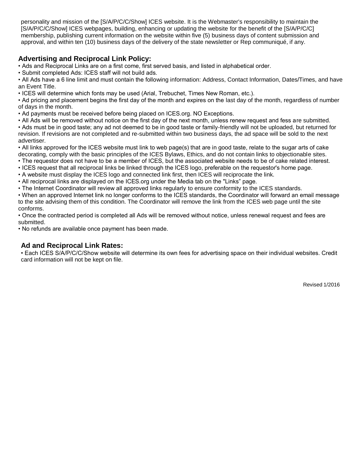personality and mission of the [S/A/P/C/C/Show] ICES website. It is the Webmaster's responsibility to maintain the [S/A/P/C/C/Show] ICES webpages, building, enhancing or updating the website for the benefit of the [S/A/P/C/C] membership, publishing current information on the website within five (5) business days of content submission and approval, and within ten (10) business days of the delivery of the state newsletter or Rep communiqué, if any.

#### <span id="page-17-0"></span>**Advertising and Reciprocal Link Policy:**

• Ads and Reciprocal Links are on a first come, first served basis, and listed in alphabetical order.

• Submit completed Ads: ICES staff will not build ads.

• All Ads have a 6 line limit and must contain the following information: Address, Contact Information, Dates/Times, and have an Event Title.

• ICES will determine which fonts may be used (Arial, Trebuchet, Times New Roman, etc.).

• Ad pricing and placement begins the first day of the month and expires on the last day of the month, regardless of number of days in the month.

- Ad payments must be received before being placed on ICES.org. NO Exceptions.
- All Ads will be removed without notice on the first day of the next month, unless renew request and fess are submitted.
- Ads must be in good taste; any ad not deemed to be in good taste or family-friendly will not be uploaded, but returned for revision. If revisions are not completed and re-submitted within two business days, the ad space will be sold to the next advertiser.

• All links approved for the ICES website must link to web page(s) that are in good taste, relate to the sugar arts of cake decorating, comply with the basic principles of the ICES Bylaws, Ethics, and do not contain links to objectionable sites.

- The requestor does not have to be a member of ICES, but the associated website needs to be of cake related interest.
- ICES request that all reciprocal links be linked through the ICES logo, preferable on the requestor's home page.
- A website must display the ICES logo and connected link first, then ICES will reciprocate the link.
- All reciprocal links are displayed on the ICES.org under the Media tab on the "Links" page.
- The Internet Coordinator will review all approved links regularly to ensure conformity to the ICES standards.

• When an approved Internet link no longer conforms to the ICES standards, the Coordinator will forward an email message to the site advising them of this condition. The Coordinator will remove the link from the ICES web page until the site conforms.

• Once the contracted period is completed all Ads will be removed without notice, unless renewal request and fees are submitted.

• No refunds are available once payment has been made.

#### <span id="page-17-1"></span>**Ad and Reciprocal Link Rates:**

• Each ICES S/A/P/C/C/Show website will determine its own fees for advertising space on their individual websites. Credit card information will not be kept on file.

Revised 1/2016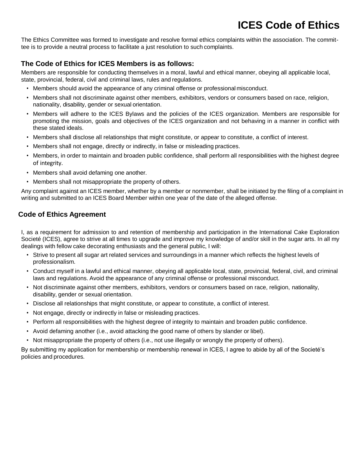# **ICES Code of Ethics**

<span id="page-18-0"></span>The Ethics Committee was formed to investigate and resolve formal ethics complaints within the association. The committee is to provide a neutral process to facilitate a just resolution to such complaints.

#### <span id="page-18-1"></span>**The Code of Ethics for ICES Members is as follows:**

Members are responsible for conducting themselves in a moral, lawful and ethical manner, obeying all applicable local, state, provincial, federal, civil and criminal laws, rules and regulations.

- Members should avoid the appearance of any criminal offense or professional misconduct.
- Members shall not discriminate against other members, exhibitors, vendors or consumers based on race, religion, nationality, disability, gender or sexual orientation.
- Members will adhere to the ICES Bylaws and the policies of the ICES organization. Members are responsible for promoting the mission, goals and objectives of the ICES organization and not behaving in a manner in conflict with these stated ideals.
- Members shall disclose all relationships that might constitute, or appear to constitute, a conflict of interest.
- Members shall not engage, directly or indirectly, in false or misleading practices.
- Members, in order to maintain and broaden public confidence, shall perform all responsibilities with the highest degree of integrity.
- Members shall avoid defaming one another.
- Members shall not misappropriate the property of others.

Any complaint against an ICES member, whether by a member or nonmember, shall be initiated by the filing of a complaint in writing and submitted to an ICES Board Member within one year of the date of the alleged offense.

#### <span id="page-18-2"></span>**Code of Ethics Agreement**

I, as a requirement for admission to and retention of membership and participation in the International Cake Exploration Societé (ICES), agree to strive at all times to upgrade and improve my knowledge of and/or skill in the sugar arts. In all my dealings with fellow cake decorating enthusiasts and the general public, I will:

- Strive to present all sugar art related services and surroundings in a manner which reflects the highest levels of professionalism.
- Conduct myself in a lawful and ethical manner, obeying all applicable local, state, provincial, federal, civil, and criminal laws and regulations. Avoid the appearance of any criminal offense or professional misconduct.
- Not discriminate against other members, exhibitors, vendors or consumers based on race, religion, nationality, disability, gender or sexual orientation.
- Disclose all relationships that might constitute, or appear to constitute, a conflict of interest.
- Not engage, directly or indirectly in false or misleading practices.
- Perform all responsibilities with the highest degree of integrity to maintain and broaden public confidence.
- Avoid defaming another (i.e., avoid attacking the good name of others by slander or libel).
- Not misappropriate the property of others (i.e., not use illegally or wrongly the property of others).

By submitting my application for membership or membership renewal in ICES, I agree to abide by all of the Societé's policies and procedures.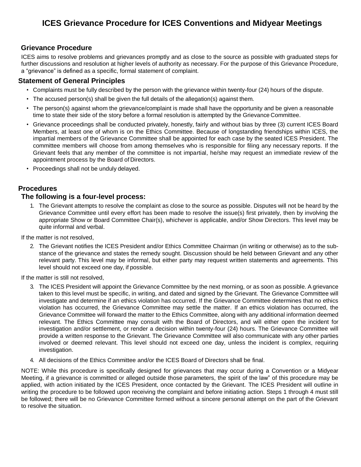#### <span id="page-19-1"></span><span id="page-19-0"></span>**Grievance Procedure**

ICES aims to resolve problems and grievances promptly and as close to the source as possible with graduated steps for further discussions and resolution at higher levels of authority as necessary. For the purpose of this Grievance Procedure, a "grievance" is defined as a specific, formal statement of complaint.

#### <span id="page-19-2"></span>**Statement of General Principles**

- Complaints must be fully described by the person with the grievance within twenty-four (24) hours of the dispute.
- The accused person(s) shall be given the full details of the allegation(s) against them.
- The person(s) against whom the grievance/complaint is made shall have the opportunity and be given a reasonable time to state their side of the story before a formal resolution is attempted by the Grievance Committee.
- Grievance proceedings shall be conducted privately, honestly, fairly and without bias by three (3) current ICES Board Members, at least one of whom is on the Ethics Committee. Because of longstanding friendships within ICES, the impartial members of the Grievance Committee shall be appointed for each case by the seated ICES President. The committee members will choose from among themselves who is responsible for filing any necessary reports. If the Grievant feels that any member of the committee is not impartial, he/she may request an immediate review of the appointment process by the Board of Directors.
- Proceedings shall not be unduly delayed.

#### <span id="page-19-3"></span>**Procedures**

#### **The following is a four-level process:**

1. The Grievant attempts to resolve the complaint as close to the source as possible. Disputes will not be heard by the Grievance Committee until every effort has been made to resolve the issue(s) first privately, then by involving the appropriate Show or Board Committee Chair(s), whichever is applicable, and/or Show Directors. This level may be quite informal and verbal.

If the matter is not resolved,

2. The Grievant notifies the ICES President and/or Ethics Committee Chairman (in writing or otherwise) as to the substance of the grievance and states the remedy sought. Discussion should be held between Grievant and any other relevant party. This level may be informal, but either party may request written statements and agreements. This level should not exceed one day, if possible.

If the matter is still not resolved,

- 3. The ICES President will appoint the Grievance Committee by the next morning, or as soon as possible. A grievance taken to this level must be specific, in writing, and dated and signed by the Grievant. The Grievance Committee will investigate and determine if an ethics violation has occurred. If the Grievance Committee determines that no ethics violation has occurred, the Grievance Committee may settle the matter. If an ethics violation has occurred, the Grievance Committee will forward the matter to the Ethics Committee, along with any additional information deemed relevant. The Ethics Committee may consult with the Board of Directors, and will either open the incident for investigation and/or settlement, or render a decision within twenty-four (24) hours. The Grievance Committee will provide a written response to the Grievant. The Grievance Committee will also communicate with any other parties involved or deemed relevant. This level should not exceed one day, unless the incident is complex, requiring investigation.
- 4. All decisions of the Ethics Committee and/or the ICES Board of Directors shall be final.

NOTE: While this procedure is specifically designed for grievances that may occur during a Convention or a Midyear Meeting, if a grievance is committed or alleged outside those parameters, the spirit of the law" of this procedure may be applied, with action initiated by the ICES President, once contacted by the Grievant. The ICES President will outline in writing the procedure to be followed upon receiving the complaint and before initiating action. Steps 1 through 4 must still be followed; there will be no Grievance Committee formed without a sincere personal attempt on the part of the Grievant to resolve the situation.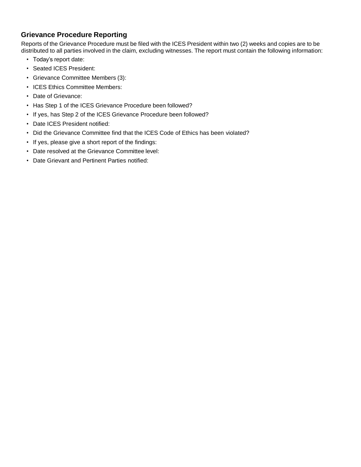#### <span id="page-20-0"></span>**Grievance Procedure Reporting**

Reports of the Grievance Procedure must be filed with the ICES President within two (2) weeks and copies are to be distributed to all parties involved in the claim, excluding witnesses. The report must contain the following information:

- Today's report date:
- Seated ICES President:
- Grievance Committee Members (3):
- ICES Ethics Committee Members:
- Date of Grievance:
- Has Step 1 of the ICES Grievance Procedure been followed?
- If yes, has Step 2 of the ICES Grievance Procedure been followed?
- Date ICES President notified:
- Did the Grievance Committee find that the ICES Code of Ethics has been violated?
- If yes, please give a short report of the findings:
- Date resolved at the Grievance Committee level:
- Date Grievant and Pertinent Parties notified: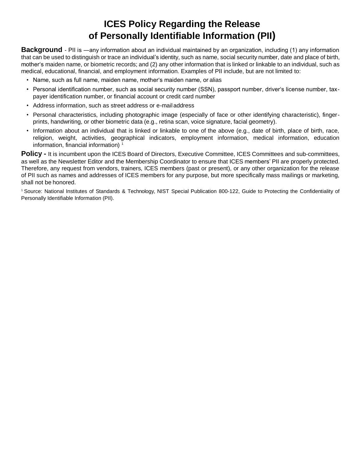# **ICES Policy Regarding the Release of Personally Identifiable Information (PII)**

<span id="page-21-1"></span><span id="page-21-0"></span>**Background** - PII is —any information about an individual maintained by an organization, including (1) any information that can be used to distinguish or trace an individual's identity, such as name, social securitynumber, date and place of birth, mother's maiden name, or biometric records; and (2) any other information that is linked or linkable to an individual, such as medical, educational, financial, and employment information. Examples of PII include, but are not limited to:

- Name, such as full name, maiden name, mother's maiden name, oralias
- Personal identification number, such as social security number (SSN), passport number, driver's license number, taxpayer identification number, or financial account or credit card number
- Address information, such as street address or e-mailaddress
- Personal characteristics, including photographic image (especially of face or other identifying characteristic), fingerprints, handwriting, or other biometric data (e.g., retina scan, voice signature, facial geometry).
- Information about an individual that is linked or linkable to one of the above (e.g., date of birth, place of birth, race, religion, weight, activities, geographical indicators, employment information, medical information, education information, financial information)<sup>1</sup>

**Policy -** It is incumbent upon the ICES Board of Directors, Executive Committee, ICES Committees and sub-committees, as well as the Newsletter Editor and the Membership Coordinator to ensure that ICES members' PII are properly protected. Therefore, any request from vendors, trainers, ICES members (past or present), or any other organization for the release of PII such as names and addresses of ICES members for any purpose, but more specifically mass mailings or marketing, shall not be honored.

<sup>1</sup>Source: National Institutes of Standards & Technology, NIST Special Publication 800-122, Guide to Protecting the Confidentiality of Personally Identifiable Information (PII).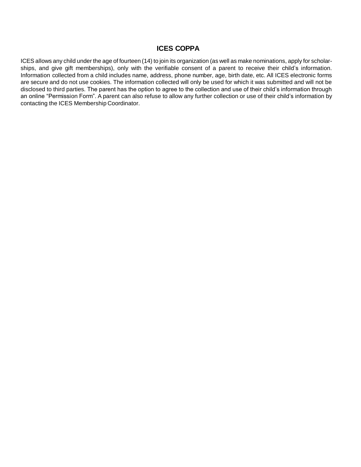#### **ICES COPPA**

<span id="page-22-0"></span>ICES allows any child under the age of fourteen (14) to join its organization (as well as make nominations, apply for scholarships, and give gift memberships), only with the verifiable consent of a parent to receive their child's information. Information collected from a child includes name, address, phone number, age, birth date, etc. All ICES electronic forms are secure and do not use cookies. The information collected will only be used for which it was submitted and will not be disclosed to third parties. The parent has the option to agree to the collection and use of their child's information through an online "Permission Form". A parent can also refuse to allow any further collection or use of their child's information by contacting the ICES Membership Coordinator.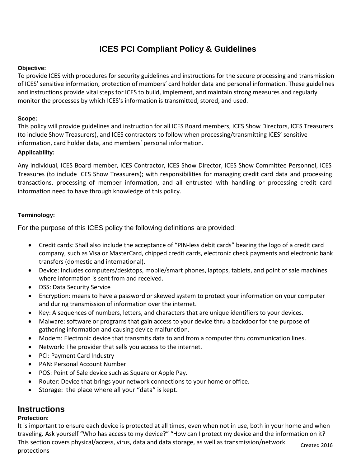## **ICES PCI Compliant Policy & Guidelines**

#### <span id="page-23-1"></span><span id="page-23-0"></span>**Objective:**

To provide ICES with procedures for security guidelines and instructions for the secure processing and transmission of ICES' sensitive information, protection of members' card holder data and personal information. These guidelines and instructions provide vital steps for ICES to build, implement, and maintain strong measures and regularly monitor the processes by which ICES's information is transmitted, stored, and used.

#### <span id="page-23-2"></span>**Scope:**

This policy will provide guidelines and instruction for all ICES Board members, ICES Show Directors, ICES Treasurers (to include Show Treasurers), and ICES contractors to follow when processing/transmitting ICES' sensitive information, card holder data, and members' personal information.

#### <span id="page-23-3"></span>**Applicability:**

Any individual, ICES Board member, ICES Contractor, ICES Show Director, ICES Show Committee Personnel, ICES Treasures (to include ICES Show Treasurers); with responsibilities for managing credit card data and processing transactions, processing of member information, and all entrusted with handling or processing credit card information need to have through knowledge of this policy.

#### <span id="page-23-4"></span>**Terminology:**

For the purpose of this ICES policy the following definitions are provided:

- Credit cards: Shall also include the acceptance of "PIN-less debit cards" bearing the logo of a credit card company, such as Visa or MasterCard, chipped credit cards, electronic check payments and electronic bank transfers (domestic and international).
- Device: Includes computers/desktops, mobile/smart phones, laptops, tablets, and point of sale machines where information is sent from and received.
- DSS: Data Security Service
- Encryption: means to have a password or skewed system to protect your information on your computer and during transmission of information over the internet.
- Key: A sequences of numbers, letters, and characters that are unique identifiers to your devices.
- Malware: software or programs that gain access to your device thru a backdoor for the purpose of gathering information and causing device malfunction.
- Modem: Electronic device that transmits data to and from a computer thru communication lines.
- Network: The provider that sells you access to the internet.
- PCI: Payment Card Industry
- PAN: Personal Account Number
- POS: Point of Sale device such as Square or Apple Pay.
- Router: Device that brings your network connections to your home or office.
- Storage: the place where all your "data" is kept.

## <span id="page-23-5"></span>**Instructions**

#### <span id="page-23-6"></span>**Protection:**

It is important to ensure each device is protected at all times, even when not in use, both in your home and when traveling. Ask yourself "Who has access to my device?" "How can I protect my device and the information on it? This section covers physical/access, virus, data and data storage, as well as transmission/network protections Created 2016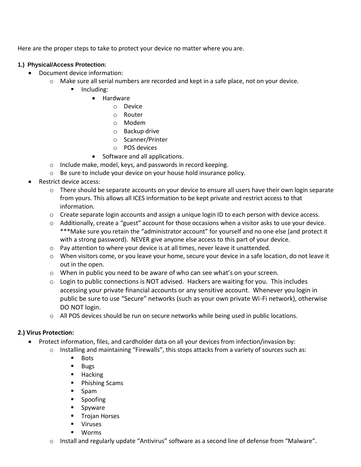Here are the proper steps to take to protect your device no matter where you are.

#### <span id="page-24-0"></span>**1.) Physical/Access Protection:**

- Document device information:
	- $\circ$  Make sure all serial numbers are recorded and kept in a safe place, not on your device.
		- Including:
			- Hardware
				- o Device
				- o Router
				- o Modem
				- o Backup drive
				- o Scanner/Printer
				- o POS devices
			- Software and all applications.
	- o Include make, model, keys, and passwords in record keeping.
	- o Be sure to include your device on your house hold insurance policy.
- Restrict device access:
	- $\circ$  There should be separate accounts on your device to ensure all users have their own login separate from yours. This allows all ICES information to be kept private and restrict access to that information.
	- o Create separate login accounts and assign a unique login ID to each person with device access.
	- o Additionally, create a "guest" account for those occasions when a visitor asks to use your device. \*\*\*Make sure you retain the "administrator account" for yourself and no one else (and protect it with a strong password). NEVER give anyone else access to this part of your device.
	- o Pay attention to where your device is at all times, never leave it unattended.
	- o When visitors come, or you leave your home, secure your device in a safe location, do not leave it out in the open.
	- o When in public you need to be aware of who can see what's on your screen.
	- $\circ$  Login to public connections is NOT advised. Hackers are waiting for you. This includes accessing your private financial accounts or any sensitive account. Whenever you login in public be sure to use "Secure" networks (such as your own private Wi-Fi network), otherwise DO NOT login.
	- o All POS devices should be run on secure networks while being used in public locations.

#### **2.) Virus Protection:**

- Protect information, files, and cardholder data on all your devices from infection/invasion by:
	- o Installing and maintaining "Firewalls", this stops attacks from a variety of sources such as:
		- **Bots**
		- Bugs
		- Hacking
		- Phishing Scams
		- Spam
		- Spoofing
		- Spyware
		- Trojan Horses
		- Viruses
		- **Worms**
	- o Install and regularly update "Antivirus" software as a second line of defense from "Malware".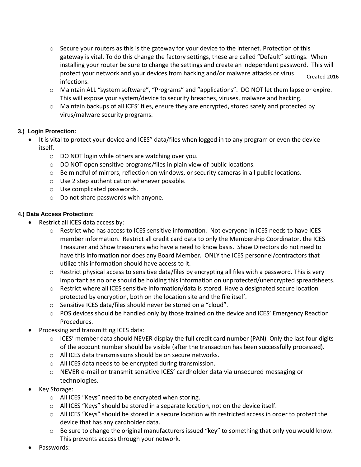- o Secure your routers as this is the gateway for your device to the internet. Protection of this gateway is vital. To do this change the factory settings, these are called "Default" settings. When installing your router be sure to change the settings and create an independent password. This will protect your network and your devices from hacking and/or malware attacks or virus infections. Created 2016
- o Maintain ALL "system software", "Programs" and "applications". DO NOT let them lapse or expire. This will expose your system/device to security breaches, viruses, malware and hacking.
- o Maintain backups of all ICES' files, ensure they are encrypted, stored safely and protected by virus/malware security programs.

#### <span id="page-25-0"></span>**3.) Login Protection:**

- It is vital to protect your device and ICES" data/files when logged in to any program or even the device itself.
	- o DO NOT login while others are watching over you.
	- o DO NOT open sensitive programs/files in plain view of public locations.
	- $\circ$  Be mindful of mirrors, reflection on windows, or security cameras in all public locations.
	- o Use 2 step authentication whenever possible.
	- o Use complicated passwords.
	- o Do not share passwords with anyone.

#### <span id="page-25-1"></span>**4.) Data Access Protection:**

- Restrict all ICES data access by:
	- o Restrict who has access to ICES sensitive information. Not everyone in ICES needs to have ICES member information. Restrict all credit card data to only the Membership Coordinator, the ICES Treasurer and Show treasurers who have a need to know basis. Show Directors do not need to have this information nor does any Board Member. ONLY the ICES personnel/contractors that utilize this information should have access to it.
	- o Restrict physical access to sensitive data/files by encrypting all files with a password. This is very important as no one should be holding this information on unprotected/unencrypted spreadsheets.
	- o Restrict where all ICES sensitive information/data is stored. Have a designated secure location protected by encryption, both on the location site and the file itself.
	- o Sensitive ICES data/files should never be stored on a "cloud".
	- o POS devices should be handled only by those trained on the device and ICES' Emergency Reaction Procedures.
- Processing and transmitting ICES data:
	- $\circ$  ICES' member data should NEVER display the full credit card number (PAN). Only the last four digits of the account number should be visible (after the transaction has been successfully processed).
	- o All ICES data transmissions should be on secure networks.
	- o All ICES data needs to be encrypted during transmission.
	- o NEVER e-mail or transmit sensitive ICES' cardholder data via unsecured messaging or technologies.
- Key Storage:
	- o All ICES "Keys" need to be encrypted when storing.
	- o All ICES "Keys" should be stored in a separate location, not on the device itself.
	- $\circ$  All ICES "Keys" should be stored in a secure location with restricted access in order to protect the device that has any cardholder data.
	- $\circ$  Be sure to change the original manufacturers issued "key" to something that only you would know. This prevents access through your network.
- Passwords: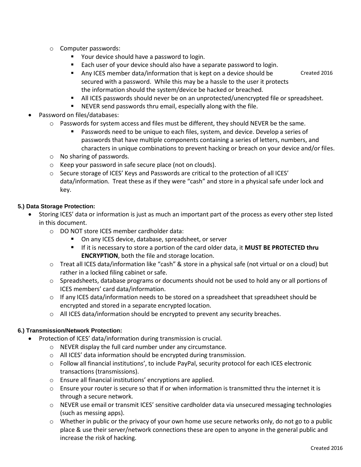- o Computer passwords:
	- Your device should have a password to login.
	- Each user of your device should also have a separate password to login.
	- Any ICES member data/information that is kept on a device should be secured with a password. While this may be a hassle to the user it protects the information should the system/device be hacked or breached.
	- All ICES passwords should never be on an unprotected/unencrypted file or spreadsheet.
	- NEVER send passwords thru email, especially along with the file.
- Password on files/databases:
	- o Passwords for system access and files must be different, they should NEVER be the same.
		- Passwords need to be unique to each files, system, and device. Develop a series of passwords that have multiple components containing a series of letters, numbers, and characters in unique combinations to prevent hacking or breach on your device and/or files.
	- o No sharing of passwords.
	- o Keep your password in safe secure place (not on clouds).
	- o Secure storage of ICES' Keys and Passwords are critical to the protection of all ICES' data/information. Treat these as if they were "cash" and store in a physical safe under lock and key.

#### <span id="page-26-0"></span>**5.) Data Storage Protection:**

- Storing ICES' data or information is just as much an important part of the process as every other step listed in this document.
	- o DO NOT store ICES member cardholder data:
		- On any ICES device, database, spreadsheet, or server
		- If it is necessary to store a portion of the card older data, it **MUST BE PROTECTED thru ENCRYPTION**, both the file and storage location.
	- o Treat all ICES data/information like "cash" & store in a physical safe (not virtual or on a cloud) but rather in a locked filing cabinet or safe.
	- o Spreadsheets, database programs or documents should not be used to hold any or all portions of ICES members' card data/information.
	- $\circ$  If any ICES data/information needs to be stored on a spreadsheet that spreadsheet should be encrypted and stored in a separate encrypted location.
	- o All ICES data/information should be encrypted to prevent any security breaches.

#### <span id="page-26-1"></span>**6.) Transmission/Network Protection:**

- Protection of ICES' data/information during transmission is crucial.
	- o NEVER display the full card number under any circumstance.
	- o All ICES' data information should be encrypted during transmission.
	- o Follow all financial institutions', to include PayPal, security protocol for each ICES electronic transactions (transmissions).
	- o Ensure all financial institutions' encryptions are applied.
	- o Ensure your router is secure so that if or when information is transmitted thru the internet it is through a secure network.
	- o NEVER use email or transmit ICES' sensitive cardholder data via unsecured messaging technologies (such as messing apps).
	- $\circ$  Whether in public or the privacy of your own home use secure networks only, do not go to a public place & use their server/network connections these are open to anyone in the general public and increase the risk of hacking.

Created 2016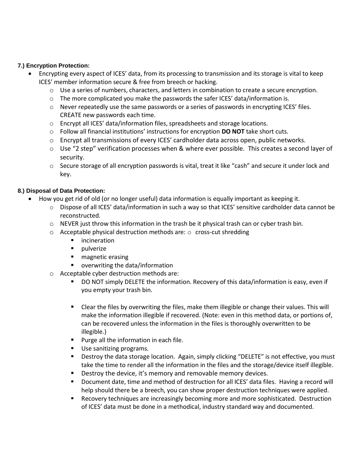#### <span id="page-27-0"></span>**7.) Encryption Protection:**

- Encrypting every aspect of ICES' data, from its processing to transmission and its storage is vital to keep ICES' member information secure & free from breech or hacking.
	- o Use a series of numbers, characters, and letters in combination to create a secure encryption.
	- $\circ$  The more complicated you make the passwords the safer ICES' data/information is.
	- o Never repeatedly use the same passwords or a series of passwords in encrypting ICES' files. CREATE new passwords each time.
	- o Encrypt all ICES' data/information files, spreadsheets and storage locations.
	- o Follow all financial institutions' instructions for encryption **DO NOT** take short cuts.
	- o Encrypt all transmissions of every ICES' cardholder data across open, public networks.
	- o Use "2 step" verification processes when & where ever possible. This creates a second layer of security.
	- $\circ$  Secure storage of all encryption passwords is vital, treat it like "cash" and secure it under lock and key.

#### <span id="page-27-1"></span>**8.) Disposal of Data Protection:**

- How you get rid of old (or no longer useful) data information is equally important as keeping it.
	- o Dispose of all ICES' data/information in such a way so that ICES' sensitive cardholder data cannot be reconstructed.
	- $\circ$  NEVER just throw this information in the trash be it physical trash can or cyber trash bin.
	- o Acceptable physical destruction methods are: o cross-cut shredding
		- **■** incineration
		- pulverize
		- magnetic erasing
		- overwriting the data/information
	- o Acceptable cyber destruction methods are:
		- DO NOT simply DELETE the information. Recovery of this data/information is easy, even if you empty your trash bin.
		- Clear the files by overwriting the files, make them illegible or change their values. This will make the information illegible if recovered. (Note: even in this method data, or portions of, can be recovered unless the information in the files is thoroughly overwritten to be illegible.)
		- Purge all the information in each file.
		- Use sanitizing programs.
		- Destroy the data storage location. Again, simply clicking "DELETE" is not effective, you must take the time to render all the information in the files and the storage/device itself illegible.
		- Destroy the device, it's memory and removable memory devices.
		- Document date, time and method of destruction for all ICES' data files. Having a record will help should there be a breech, you can show proper destruction techniques were applied.
		- Recovery techniques are increasingly becoming more and more sophisticated. Destruction of ICES' data must be done in a methodical, industry standard way and documented.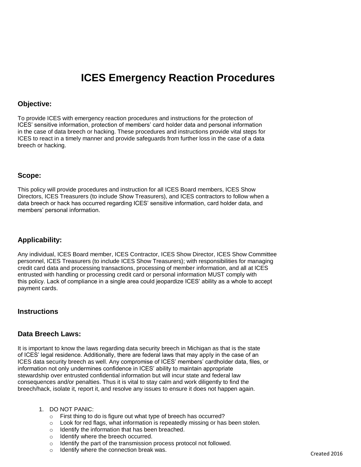# **ICES Emergency Reaction Procedures**

#### <span id="page-28-1"></span><span id="page-28-0"></span>**Objective:**

To provide ICES with emergency reaction procedures and instructions for the protection of ICES' sensitive information, protection of members' card holder data and personal information in the case of data breech or hacking. These procedures and instructions provide vital steps for ICES to react in a timely manner and provide safeguards from further loss in the case of a data breech or hacking.

#### <span id="page-28-2"></span>**Scope:**

This policy will provide procedures and instruction for all ICES Board members, ICES Show Directors, ICES Treasurers (to include Show Treasurers), and ICES contractors to follow when a data breech or hack has occurred regarding ICES' sensitive information, card holder data, and members' personal information.

#### <span id="page-28-3"></span>**Applicability:**

Any individual, ICES Board member, ICES Contractor, ICES Show Director, ICES Show Committee personnel, ICES Treasurers (to include ICES Show Treasurers); with responsibilities for managing credit card data and processing transactions, processing of member information, and all at ICES entrusted with handling or processing credit card or personal information MUST comply with this policy. Lack of compliance in a single area could jeopardize ICES' ability as a whole to accept payment cards.

#### <span id="page-28-4"></span>**Instructions**

#### <span id="page-28-5"></span>**Data Breech Laws:**

It is important to know the laws regarding data security breech in Michigan as that is the state of ICES' legal residence. Additionally, there are federal laws that may apply in the case of an ICES data security breech as well. Any compromise of ICES' members' cardholder data, files, or information not only undermines confidence in ICES' ability to maintain appropriate stewardship over entrusted confidential information but will incur state and federal law consequences and/or penalties. Thus it is vital to stay calm and work diligently to find the breech/hack, isolate it, report it, and resolve any issues to ensure it does not happen again.

- 1. DO NOT PANIC:
	- o First thing to do is figure out what type of breech has occurred?
	- o Look for red flags, what information is repeatedly missing or has been stolen.
	- o Identify the information that has been breached.
	- o Identify where the breech occurred.
	- o Identify the part of the transmission process protocol not followed.
	- o Identify where the connection break was.<br>Created 2016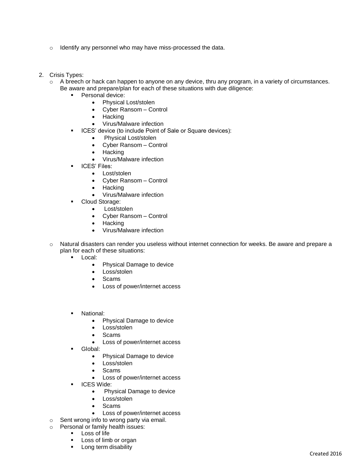- o Identify any personnel who may have miss-processed the data.
- 2. Crisis Types:
	- o A breech or hack can happen to anyone on any device, thru any program, in a variety of circumstances. Be aware and prepare/plan for each of these situations with due diligence:
		- Personal device:
			- Physical Lost/stolen
			- Cyber Ransom Control
			- Hacking
			- Virus/Malware infection
		- ICES' device (to include Point of Sale or Square devices):
			- Physical Lost/stolen
			- Cyber Ransom Control
			- **Hacking**
			- Virus/Malware infection
		- **ICES' Files:** 
			- Lost/stolen
			- Cyber Ransom Control
			- Hacking
			- Virus/Malware infection
		- Cloud Storage:
			- Lost/stolen
			- Cyber Ransom Control
			- **Hacking**
			- Virus/Malware infection
	- $\circ$  Natural disasters can render you useless without internet connection for weeks. Be aware and prepare a plan for each of these situations:
		- Local:
			- Physical Damage to device
			- Loss/stolen
			- Scams
			- Loss of power/internet access
		- National:
			- Physical Damage to device
			- Loss/stolen
			- Scams
			- Loss of power/internet access
		- Global:
			- Physical Damage to device
			- Loss/stolen
			- Scams
			- Loss of power/internet access
		- **•** ICES Wide:
			- Physical Damage to device
			- Loss/stolen
			- **Scams**
			- Loss of power/internet access
	- o Sent wrong info to wrong party via email.
	- o Personal or family health issues:
		- Loss of life
		- Loss of limb or organ
		- Long term disability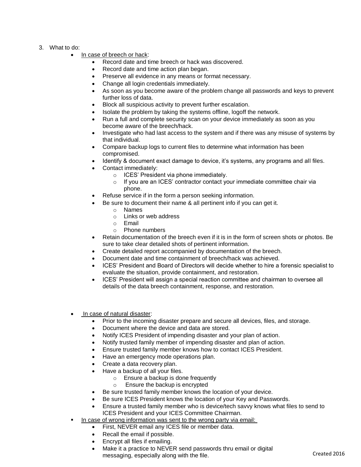- 3. What to do:
	- In case of breech or hack:
		- Record date and time breech or hack was discovered.
		- Record date and time action plan began.
		- Preserve all evidence in any means or format necessary.
		- Change all login credentials immediately.
		- As soon as you become aware of the problem change all passwords and keys to prevent further loss of data.
		- Block all suspicious activity to prevent further escalation.
		- Isolate the problem by taking the systems offline, logoff the network.
		- Run a full and complete security scan on your device immediately as soon as you become aware of the breech/hack.
		- Investigate who had last access to the system and if there was any misuse of systems by that individual.
		- Compare backup logs to current files to determine what information has been compromised.
		- Identify & document exact damage to device, it's systems, any programs and all files.
		- Contact immediately:
			- o ICES' President via phone immediately.
			- o If you are an ICES' contractor contact your immediate committee chair via phone.
		- Refuse service if in the form a person seeking information.
			- Be sure to document their name & all pertinent info if you can get it.
				- o Names
				- o Links or web address
				- $\circ$  Fmail
				- o Phone numbers
		- Retain documentation of the breech even if it is in the form of screen shots or photos. Be sure to take clear detailed shots of pertinent information.
		- Create detailed report accompanied by documentation of the breech.
		- Document date and time containment of breech/hack was achieved.
		- ICES' President and Board of Directors will decide whether to hire a forensic specialist to evaluate the situation, provide containment, and restoration.
		- ICES' President will assign a special reaction committee and chairman to oversee all details of the data breech containment, response, and restoration.
	- In case of natural disaster:
		- Prior to the incoming disaster prepare and secure all devices, files, and storage.
		- Document where the device and data are stored.
		- Notify ICES President of impending disaster and your plan of action.
		- Notify trusted family member of impending disaster and plan of action.
		- Ensure trusted family member knows how to contact ICES President.
		- Have an emergency mode operations plan.
		- Create a data recovery plan.
		- Have a backup of all your files.
			- o Ensure a backup is done frequently
			- o Ensure the backup is encrypted
		- Be sure trusted family member knows the location of your device.
		- Be sure ICES President knows the location of your Key and Passwords.
		- Ensure a trusted family member who is device/tech savvy knows what files to send to ICES President and your ICES Committee Chairman.
	- In case of wrong information was sent to the wrong party via email:
		- First, NEVER email any ICES file or member data.
		- Recall the email if possible.
		- Encrypt all files if emailing.
		- Make it a practice to NEVER send passwords thru email or digital messaging, especially along with the file.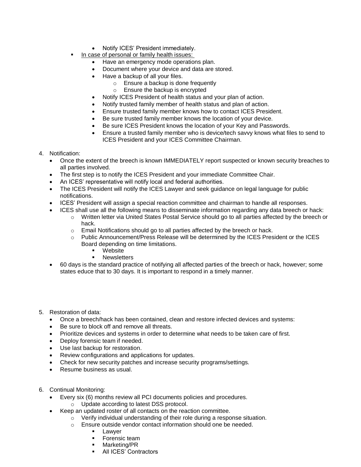- Notify ICES' President immediately.
- In case of personal or family health issues:
	- Have an emergency mode operations plan.
	- Document where your device and data are stored.
	- Have a backup of all your files.
		- o Ensure a backup is done frequently
		- o Ensure the backup is encrypted
	- Notify ICES President of health status and your plan of action.
	- Notify trusted family member of health status and plan of action.
	- Ensure trusted family member knows how to contact ICES President.
	- Be sure trusted family member knows the location of your device.
	- Be sure ICES President knows the location of your Key and Passwords.
	- Ensure a trusted family member who is device/tech savvy knows what files to send to ICES President and your ICES Committee Chairman.
- 4. Notification:
	- Once the extent of the breech is known IMMEDIATELY report suspected or known security breaches to all parties involved.
	- The first step is to notify the ICES President and your immediate Committee Chair.
	- An ICES' representative will notify local and federal authorities.
	- The ICES President will notify the ICES Lawyer and seek guidance on legal language for public notifications.
	- ICES' President will assign a special reaction committee and chairman to handle all responses.
	- ICES shall use all the following means to disseminate information regarding any data breech or hack:
		- o Written letter via United States Postal Service should go to all parties affected by the breech or hack.
		- o Email Notifications should go to all parties affected by the breech or hack.
		- o Public Announcement/Press Release will be determined by the ICES President or the ICES Board depending on time limitations.
			- Website
			- **■** Newsletters
	- 60 days is the standard practice of notifying all affected parties of the breech or hack, however; some states educe that to 30 days. It is important to respond in a timely manner.

5. Restoration of data:

- Once a breech/hack has been contained, clean and restore infected devices and systems:
- Be sure to block off and remove all threats.
- Prioritize devices and systems in order to determine what needs to be taken care of first.
- Deploy forensic team if needed.
- Use last backup for restoration.
- Review configurations and applications for updates.
- Check for new security patches and increase security programs/settings.
- Resume business as usual.
- 6. Continual Monitoring:
	- Every six (6) months review all PCI documents policies and procedures.
		- o Update according to latest DSS protocol.
	- Keep an updated roster of all contacts on the reaction committee.
		- o Verify individual understanding of their role during a response situation.
		- o Ensure outside vendor contact information should one be needed.
			- Lawyer
			- Forensic team
			- Marketing/PR
			- **E** All ICES' Contractors